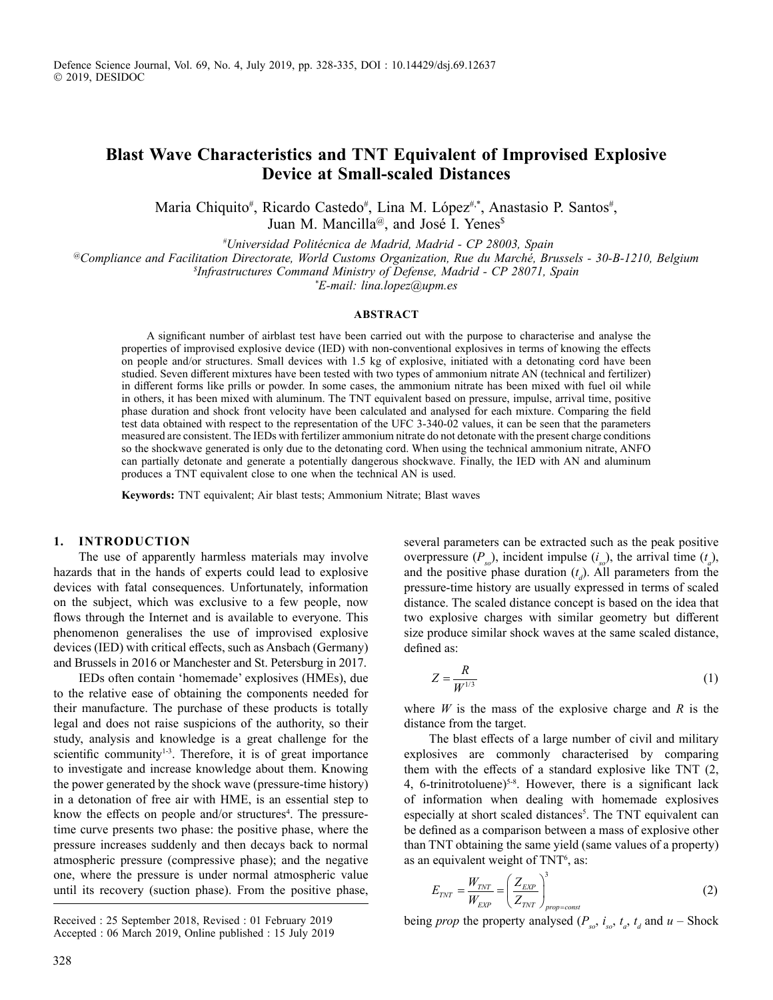# **Blast Wave Characteristics and TNT Equivalent of Improvised Explosive Device at Small-scaled Distances**

Maria Chiquito<sup>#</sup>, Ricardo Castedo<sup>#</sup>, Lina M. López<sup>#,\*</sup>, Anastasio P. Santos<sup>#</sup>, Juan M. Mancilla<sup>@</sup>, and José I. Yenes<sup>\$</sup>

*# Universidad Politécnica de Madrid, Madrid - CP 28003, Spain*

*@Compliance and Facilitation Directorate, World Customs Organization, Rue du Marché, Brussels - 30-B-1210, Belgium*

*\$ Infrastructures Command Ministry of Defense, Madrid - CP 28071, Spain*

*\* E-mail: lina.lopez@upm.es*

#### **ABSTRACT**

A significant number of airblast test have been carried out with the purpose to characterise and analyse the properties of improvised explosive device (IED) with non-conventional explosives in terms of knowing the effects on people and/or structures. Small devices with 1.5 kg of explosive, initiated with a detonating cord have been studied. Seven different mixtures have been tested with two types of ammonium nitrate AN (technical and fertilizer) in different forms like prills or powder. In some cases, the ammonium nitrate has been mixed with fuel oil while in others, it has been mixed with aluminum. The TNT equivalent based on pressure, impulse, arrival time, positive phase duration and shock front velocity have been calculated and analysed for each mixture. Comparing the field test data obtained with respect to the representation of the UFC 3-340-02 values, it can be seen that the parameters measured are consistent. The IEDs with fertilizer ammonium nitrate do not detonate with the present charge conditions so the shockwave generated is only due to the detonating cord. When using the technical ammonium nitrate, ANFO can partially detonate and generate a potentially dangerous shockwave. Finally, the IED with AN and aluminum produces a TNT equivalent close to one when the technical AN is used.

**Keywords:** TNT equivalent; Air blast tests; Ammonium Nitrate; Blast waves

# **1. Introduction**

The use of apparently harmless materials may involve hazards that in the hands of experts could lead to explosive devices with fatal consequences. Unfortunately, information on the subject, which was exclusive to a few people, now flows through the Internet and is available to everyone. This phenomenon generalises the use of improvised explosive devices (IED) with critical effects, such as Ansbach (Germany) and Brussels in 2016 or Manchester and St. Petersburg in 2017.

IEDs often contain 'homemade' explosives (HMEs), due to the relative ease of obtaining the components needed for their manufacture. The purchase of these products is totally legal and does not raise suspicions of the authority, so their study, analysis and knowledge is a great challenge for the scientific community<sup>1-3</sup>. Therefore, it is of great importance to investigate and increase knowledge about them. Knowing the power generated by the shock wave (pressure-time history) in a detonation of free air with HME, is an essential step to know the effects on people and/or structures<sup>4</sup>. The pressuretime curve presents two phase: the positive phase, where the pressure increases suddenly and then decays back to normal atmospheric pressure (compressive phase); and the negative one, where the pressure is under normal atmospheric value until its recovery (suction phase). From the positive phase,

several parameters can be extracted such as the peak positive overpressure  $(P_{s0})$ , incident impulse  $(i_{s0})$ , the arrival time  $(t_a)$ , and the positive phase duration  $(t_d)$ . All parameters from the pressure-time history are usually expressed in terms of scaled distance. The scaled distance concept is based on the idea that two explosive charges with similar geometry but different size produce similar shock waves at the same scaled distance, defined as:

$$
Z = \frac{R}{W^{1/3}}\tag{1}
$$

where *W* is the mass of the explosive charge and *R* is the distance from the target.

The blast effects of a large number of civil and military explosives are commonly characterised by comparing them with the effects of a standard explosive like TNT (2, 4, 6-trinitrotoluene)<sup>5-8</sup>. However, there is a significant lack of information when dealing with homemade explosives especially at short scaled distances<sup>5</sup>. The TNT equivalent can be defined as a comparison between a mass of explosive other than TNT obtaining the same yield (same values of a property) as an equivalent weight of TNT<sup>6</sup>, as:

$$
E_{TNT} = \frac{W_{TNT}}{W_{EXP}} = \left(\frac{Z_{EXP}}{Z_{TNT}}\right)_{prop=const}^{3}
$$
 (2)

Received : 25 September 2018, Revised : 01 February 2019 being *prop* the property analysed  $(P_{so}, i_{so}, t_a, t_d$  and  $u -$  Shock Accepted : 06 March 2019, Online published : 15 July 2019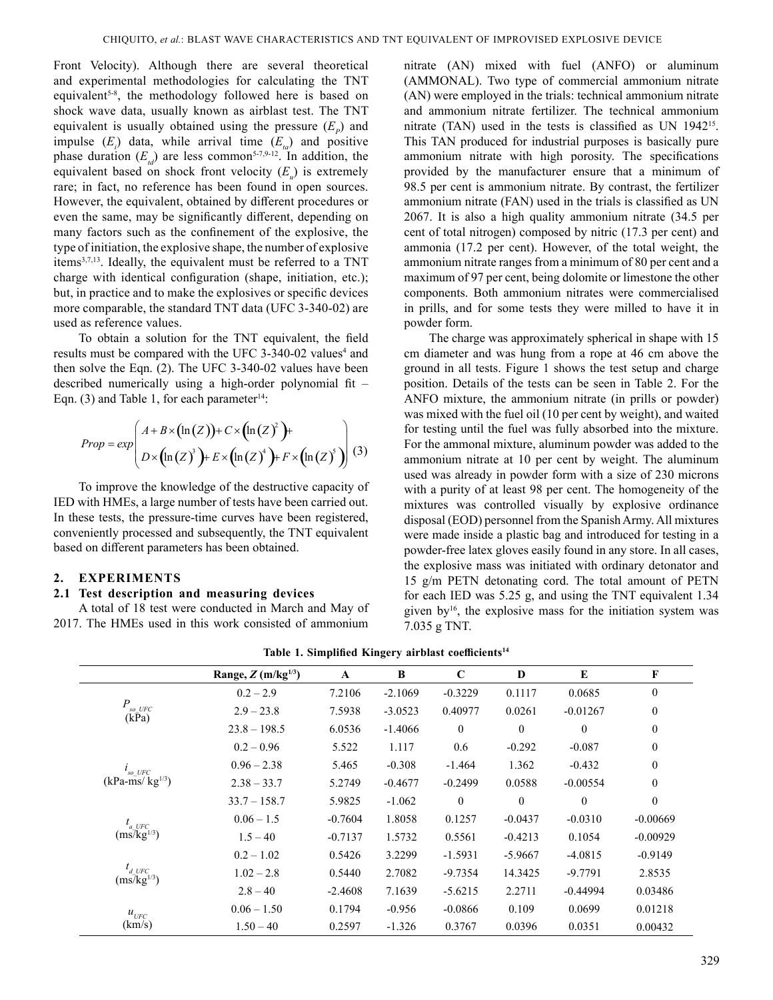Front Velocity). Although there are several theoretical and experimental methodologies for calculating the TNT equivalent<sup>5-8</sup>, the methodology followed here is based on shock wave data, usually known as airblast test. The TNT equivalent is usually obtained using the pressure  $(E_p)$  and impulse  $(E_i)$  data, while arrival time  $(E_{i}$  and positive phase duration  $(E_{td})$  are less common<sup>5-7,9-12</sup>. In addition, the equivalent based on shock front velocity ( $E_u$ ) is extremely rare; in fact, no reference has been found in open sources. However, the equivalent, obtained by different procedures or even the same, may be significantly different, depending on many factors such as the confinement of the explosive, the type of initiation, the explosive shape, the number of explosive items<sup>3,7,13</sup>. Ideally, the equivalent must be referred to a TNT charge with identical configuration (shape, initiation, etc.); but, in practice and to make the explosives or specific devices more comparable, the standard TNT data (UFC 3-340-02) are used as reference values.

To obtain a solution for the TNT equivalent, the field results must be compared with the UFC 3-340-02 values<sup>4</sup> and then solve the Eqn. (2). The UFC 3-340-02 values have been described numerically using a high-order polynomial fit – Eqn. (3) and Table 1, for each parameter<sup>14</sup>:

$$
Prop = exp\left(A + B \times (\ln(Z)) + C \times (\ln(Z)^2) + \nD \times (\ln(Z)^3) + E \times (\ln(Z)^4) + F \times (\ln(Z)^5) \right)
$$
(3)

To improve the knowledge of the destructive capacity of IED with HMEs, a large number of tests have been carried out. In these tests, the pressure-time curves have been registered, conveniently processed and subsequently, the TNT equivalent based on different parameters has been obtained.

# **2. Experiments**

# **2.1 Test description and measuring devices**

A total of 18 test were conducted in March and May of 2017. The HMEs used in this work consisted of ammonium nitrate (AN) mixed with fuel (ANFO) or aluminum (AMMONAL). Two type of commercial ammonium nitrate (AN) were employed in the trials: technical ammonium nitrate and ammonium nitrate fertilizer. The technical ammonium nitrate (TAN) used in the tests is classified as UN 1942<sup>15</sup>. This TAN produced for industrial purposes is basically pure ammonium nitrate with high porosity. The specifications provided by the manufacturer ensure that a minimum of 98.5 per cent is ammonium nitrate. By contrast, the fertilizer ammonium nitrate (FAN) used in the trials is classified as UN 2067. It is also a high quality ammonium nitrate (34.5 per cent of total nitrogen) composed by nitric (17.3 per cent) and ammonia (17.2 per cent). However, of the total weight, the ammonium nitrate ranges from a minimum of 80 per cent and a maximum of 97 per cent, being dolomite or limestone the other components. Both ammonium nitrates were commercialised in prills, and for some tests they were milled to have it in powder form.

The charge was approximately spherical in shape with 15 cm diameter and was hung from a rope at 46 cm above the ground in all tests. Figure 1 shows the test setup and charge position. Details of the tests can be seen in Table 2. For the ANFO mixture, the ammonium nitrate (in prills or powder) was mixed with the fuel oil (10 per cent by weight), and waited for testing until the fuel was fully absorbed into the mixture. For the ammonal mixture, aluminum powder was added to the ammonium nitrate at 10 per cent by weight. The aluminum used was already in powder form with a size of 230 microns with a purity of at least 98 per cent. The homogeneity of the mixtures was controlled visually by explosive ordinance disposal (EOD) personnel from the Spanish Army. All mixtures were made inside a plastic bag and introduced for testing in a powder-free latex gloves easily found in any store. In all cases, the explosive mass was initiated with ordinary detonator and 15 g/m PETN detonating cord. The total amount of PETN for each IED was 5.25 g, and using the TNT equivalent 1.34 given by<sup>16</sup>, the explosive mass for the initiation system was 7.035 g TNT.

|  |  | Table 1. Simplified Kingery airblast coefficients <sup>14</sup> |
|--|--|-----------------------------------------------------------------|
|  |  |                                                                 |

|                                                             | Range, $Z$ (m/kg <sup>1/3</sup> ) | $\mathbf A$ | B         | $\mathbf C$  | D         | E                                                                                                                                                     | F                |
|-------------------------------------------------------------|-----------------------------------|-------------|-----------|--------------|-----------|-------------------------------------------------------------------------------------------------------------------------------------------------------|------------------|
|                                                             | $0.2 - 2.9$                       | 7.2106      | $-2.1069$ | $-0.3229$    | 0.1117    | 0.0685                                                                                                                                                | $\boldsymbol{0}$ |
| $P_{so~UFC}$<br>(kPa)                                       | $2.9 - 23.8$                      | 7.5938      | $-3.0523$ | 0.40977      | 0.0261    | $-0.01267$                                                                                                                                            | $\boldsymbol{0}$ |
|                                                             | $23.8 - 198.5$                    | 6.0536      | $-1.4066$ | $\mathbf{0}$ | $\theta$  | $\mathbf{0}$<br>$-0.087$<br>$-0.432$<br>$-0.00554$<br>$\mathbf{0}$<br>$-0.0310$<br>0.1054<br>$-4.0815$<br>$-9.7791$<br>$-0.44994$<br>0.0699<br>0.0351 | $\boldsymbol{0}$ |
|                                                             | $0.2 - 0.96$                      | 5.522       | 1.117     | 0.6          | $-0.292$  |                                                                                                                                                       | $\boldsymbol{0}$ |
| $l_{so~UFC}$                                                | $0.96 - 2.38$                     | 5.465       | $-0.308$  | $-1.464$     | 1.362     |                                                                                                                                                       | $\boldsymbol{0}$ |
| $(kPa - ms/kg^{1/3})$                                       | $2.38 - 33.7$                     | 5.2749      | $-0.4677$ | $-0.2499$    | 0.0588    |                                                                                                                                                       | $\boldsymbol{0}$ |
|                                                             | $33.7 - 158.7$                    | 5.9825      | $-1.062$  | $\mathbf{0}$ | $\theta$  |                                                                                                                                                       | $\theta$         |
| $t_{a \text{ UFC}}$                                         | $0.06 - 1.5$                      | $-0.7604$   | 1.8058    | 0.1257       | $-0.0437$ |                                                                                                                                                       | $-0.00669$       |
| $(ms/kg^{1/3})$                                             | $1.5 - 40$                        | $-0.7137$   | 1.5732    | 0.5561       | $-0.4213$ |                                                                                                                                                       | $-0.00929$       |
|                                                             | $0.2 - 1.02$                      | 0.5426      | 3.2299    | $-1.5931$    | $-5.9667$ |                                                                                                                                                       | $-0.9149$        |
| $t_{d \text{ UFC}}$<br>(ms <sup>7</sup> kg <sup>1/3</sup> ) | $1.02 - 2.8$                      | 0.5440      | 2.7082    | $-9.7354$    | 14.3425   |                                                                                                                                                       | 2.8535           |
|                                                             | $2.8 - 40$                        | $-2.4608$   | 7.1639    | $-5.6215$    | 2.2711    |                                                                                                                                                       | 0.03486          |
| $u_{UFC}$                                                   | $0.06 - 1.50$                     | 0.1794      | $-0.956$  | $-0.0866$    | 0.109     |                                                                                                                                                       | 0.01218          |
| (km/s)                                                      | $1.50 - 40$                       | 0.2597      | $-1.326$  | 0.3767       | 0.0396    |                                                                                                                                                       | 0.00432          |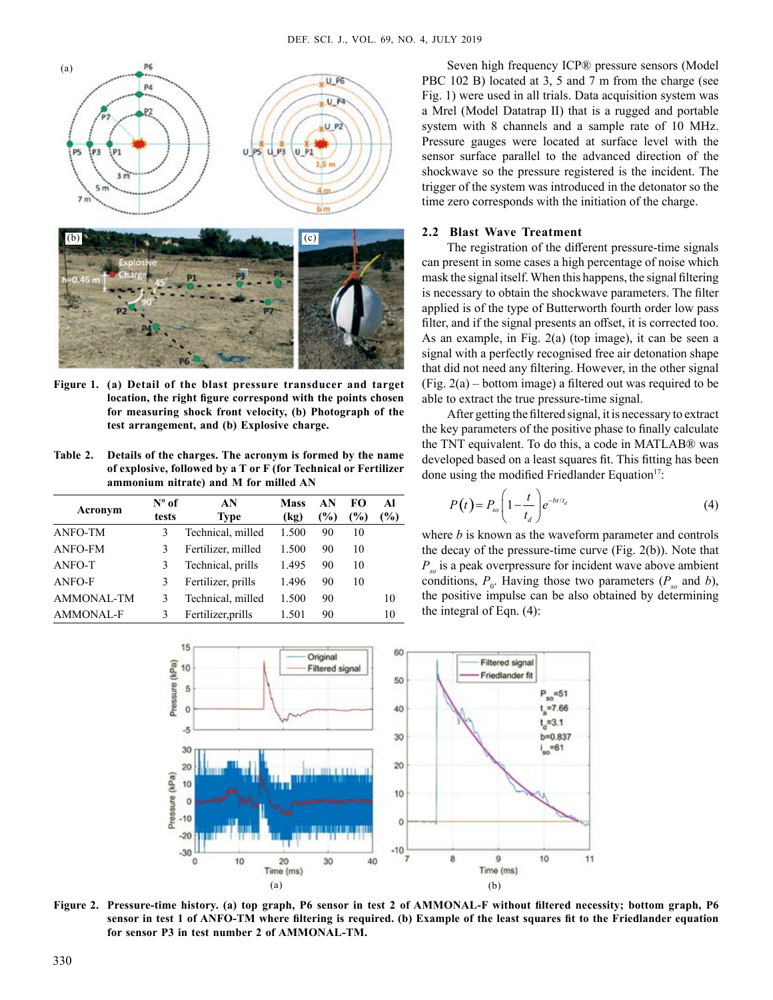

**Figure 1. (a) Detail of the blast pressure transducer and target location, the right figure correspond with the points chosen for measuring shock front velocity, (b) Photograph of the test arrangement, and (b) Explosive charge.**

**Table 2. Details of the charges. The acronym is formed by the name of explosive, followed by a T or F (for Technical or Fertilizer ammonium nitrate) and M for milled AN**

| Acronym    | $N^{\circ}$ of<br>tests | AN<br>Type         | <b>Mass</b><br>(kg) | AN<br>(%) | FО<br>$\left( \frac{0}{0} \right)$ | Αl<br>$\mathcal{O}_0$ |
|------------|-------------------------|--------------------|---------------------|-----------|------------------------------------|-----------------------|
| ANFO-TM    | 3                       | Technical, milled  | 1.500               | 90        | 10                                 |                       |
| ANFO-FM    | 3                       | Fertilizer, milled | 1.500               | 90        | 10                                 |                       |
| ANFO-T     | 3                       | Technical, prills  | 1.495               | 90        | 10                                 |                       |
| ANFO-F     | 3                       | Fertilizer, prills | 1.496               | 90        | 10                                 |                       |
| AMMONAL-TM | 3                       | Technical, milled  | 1.500               | 90        |                                    | 10                    |
| AMMONAL-F  | 3                       | Fertilizer, prills | 1.501               | 90        |                                    | 10                    |

Seven high frequency ICP® pressure sensors (Model PBC 102 B) located at 3, 5 and 7 m from the charge (see Fig. 1) were used in all trials. Data acquisition system was a Mrel (Model Datatrap II) that is a rugged and portable system with 8 channels and a sample rate of 10 MHz. Pressure gauges were located at surface level with the sensor surface parallel to the advanced direction of the shockwave so the pressure registered is the incident. The trigger of the system was introduced in the detonator so the time zero corresponds with the initiation of the charge.

#### **2.2 Blast Wave Treatment**

The registration of the different pressure-time signals can present in some cases a high percentage of noise which mask the signal itself. When this happens, the signal filtering is necessary to obtain the shockwave parameters. The filter applied is of the type of Butterworth fourth order low pass filter, and if the signal presents an offset, it is corrected too. As an example, in Fig. 2(a) (top image), it can be seen a signal with a perfectly recognised free air detonation shape that did not need any filtering. However, in the other signal (Fig. 2(a) – bottom image) a filtered out was required to be able to extract the true pressure-time signal.

After getting the filtered signal, it is necessary to extract the key parameters of the positive phase to finally calculate the TNT equivalent. To do this, a code in MATLAB® was developed based on a least squares fit. This fitting has been done using the modified Friedlander Equation<sup>17</sup>:

$$
P(t) = P_{so} \left( 1 - \frac{t}{t_d} \right) e^{-bt/t_d} \tag{4}
$$

where *b* is known as the waveform parameter and controls the decay of the pressure-time curve (Fig. 2(b)). Note that *Pso* is a peak overpressure for incident wave above ambient conditions,  $P_0$ . Having those two parameters  $(P_{so}$  and *b*), the positive impulse can be also obtained by determining the integral of Eqn. (4):



**Figure 2. Pressure-time history. (a) top graph, P6 sensor in test 2 of AMMONAL-F without filtered necessity; bottom graph, P6 sensor in test 1 of ANFO-TM where filtering is required. (b) Example of the least squares fit to the Friedlander equation for sensor P3 in test number 2 of AMMONAL-TM.**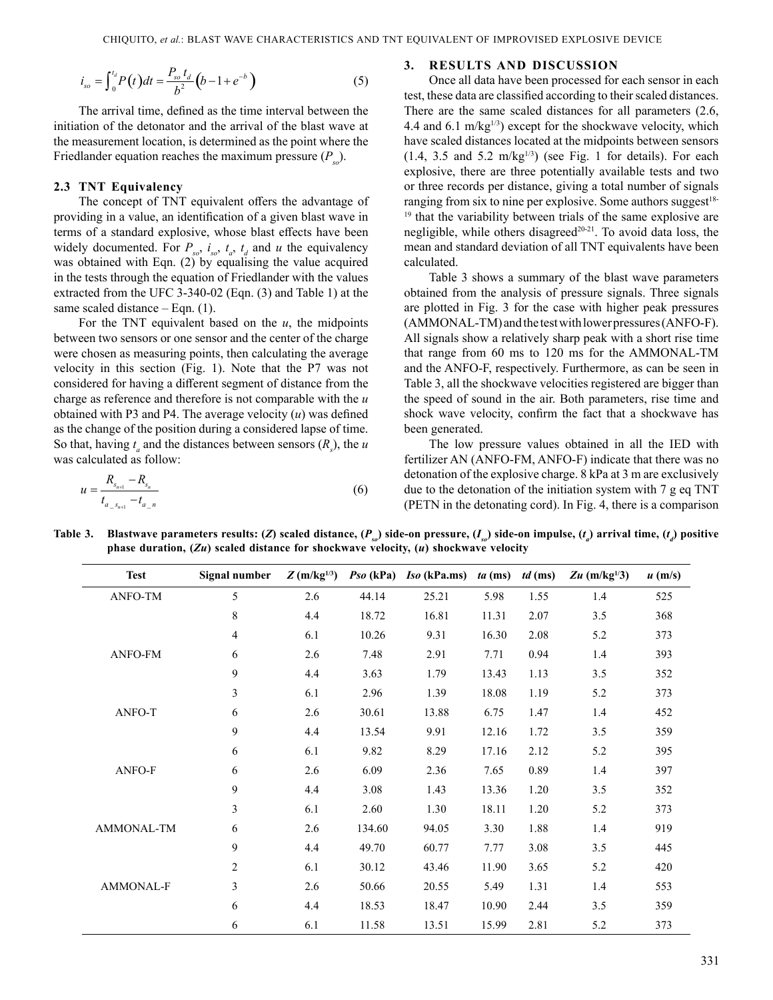$$
i_{so} = \int_{0}^{t_d} P(t)dt = \frac{P_{so} t_d}{b^2} (b - 1 + e^{-b})
$$
 (5)

The arrival time, defined as the time interval between the initiation of the detonator and the arrival of the blast wave at the measurement location, is determined as the point where the Friedlander equation reaches the maximum pressure  $(P_{s_0})$ .

#### **2.3 TNT Equivalency**

The concept of TNT equivalent offers the advantage of providing in a value, an identification of a given blast wave in terms of a standard explosive, whose blast effects have been widely documented. For  $P_{so}$ ,  $i_{so}$ ,  $t_a$ ,  $t_d$  and  $u$  the equivalency was obtained with Eqn. (2) by equalising the value acquired in the tests through the equation of Friedlander with the values extracted from the UFC 3-340-02 (Eqn. (3) and Table 1) at the same scaled distance – Eqn. (1).

For the TNT equivalent based on the *u*, the midpoints between two sensors or one sensor and the center of the charge were chosen as measuring points, then calculating the average velocity in this section (Fig. 1). Note that the P7 was not considered for having a different segment of distance from the charge as reference and therefore is not comparable with the *u* obtained with P3 and P4. The average velocity (*u*) was defined as the change of the position during a considered lapse of time. So that, having  $t_a$  and the distances between sensors  $(R_s)$ , the *u* was calculated as follow:

$$
u = \frac{R_{s_{n+1}} - R_{s_n}}{t_{a_{-}s_{n+1}} - t_{a_{-}n}}
$$
(6)

### **3. Results and discussion**

Once all data have been processed for each sensor in each test, these data are classified according to their scaled distances. There are the same scaled distances for all parameters (2.6, 4.4 and 6.1 m/kg $^{1/3}$ ) except for the shockwave velocity, which have scaled distances located at the midpoints between sensors  $(1.4, 3.5 \text{ and } 5.2 \text{ m/kg}^{1/3})$  (see Fig. 1 for details). For each explosive, there are three potentially available tests and two or three records per distance, giving a total number of signals ranging from six to nine per explosive. Some authors suggest<sup>18-</sup> <sup>19</sup> that the variability between trials of the same explosive are negligible, while others disagreed<sup>20-21</sup>. To avoid data loss, the mean and standard deviation of all TNT equivalents have been calculated.

Table 3 shows a summary of the blast wave parameters obtained from the analysis of pressure signals. Three signals are plotted in Fig. 3 for the case with higher peak pressures (AMMONAL-TM) and the test with lower pressures (ANFO-F). All signals show a relatively sharp peak with a short rise time that range from 60 ms to 120 ms for the AMMONAL-TM and the ANFO-F, respectively. Furthermore, as can be seen in Table 3, all the shockwave velocities registered are bigger than the speed of sound in the air. Both parameters, rise time and shock wave velocity, confirm the fact that a shockwave has been generated.

The low pressure values obtained in all the IED with fertilizer AN (ANFO-FM, ANFO-F) indicate that there was no detonation of the explosive charge. 8 kPa at 3 m are exclusively due to the detonation of the initiation system with 7 g eq TNT (PETN in the detonating cord). In Fig. 4, there is a comparison

Table 3. Blastwave parameters results: (Z) scaled distance, ( $P_{so}$ ) side-on pressure, (I<sub>so</sub>) side-on impulse, (t<sub>a</sub>) arrival time, (t<sub>a</sub>) positive **phase duration, (***Zu***) scaled distance for shockwave velocity, (***u***) shockwave velocity**

| <b>Test</b> | Signal number | $Z(m/kg^{1/3})$ |        | $Pso(kPa)$ Iso (kPa.ms) | $ta$ (ms) | $td$ (ms) | Zu $(m/kg^{1/3})$ | $u$ (m/s) |
|-------------|---------------|-----------------|--------|-------------------------|-----------|-----------|-------------------|-----------|
| ANFO-TM     | 5             | 2.6             | 44.14  | 25.21                   | 5.98      | 1.55      | 1.4               | 525       |
|             | 8             | 4.4             | 18.72  | 16.81                   | 11.31     | 2.07      | 3.5               | 368       |
|             | 4             | 6.1             | 10.26  | 9.31                    | 16.30     | 2.08      | 5.2               | 373       |
| ANFO-FM     | 6             | 2.6             | 7.48   | 2.91                    | 7.71      | 0.94      | 1.4               | 393       |
|             | 9             | 4.4             | 3.63   | 1.79                    | 13.43     | 1.13      | 3.5               | 352       |
|             | 3             | 6.1             | 2.96   | 1.39                    | 18.08     | 1.19      | 5.2               | 373       |
| ANFO-T      | 6             | 2.6             | 30.61  | 13.88                   | 6.75      | 1.47      | 1.4               | 452       |
|             | 9             | 4.4             | 13.54  | 9.91                    | 12.16     | 1.72      | 3.5               | 359       |
|             | 6             | 6.1             | 9.82   | 8.29                    | 17.16     | 2.12      | 5.2               | 395       |
| ANFO-F      | 6             | 2.6             | 6.09   | 2.36                    | 7.65      | 0.89      | 1.4               | 397       |
|             | 9             | 4.4             | 3.08   | 1.43                    | 13.36     | 1.20      | 3.5               | 352       |
|             | 3             | 6.1             | 2.60   | 1.30                    | 18.11     | 1.20      | 5.2               | 373       |
| AMMONAL-TM  | 6             | 2.6             | 134.60 | 94.05                   | 3.30      | 1.88      | 1.4               | 919       |
|             | 9             | 4.4             | 49.70  | 60.77                   | 7.77      | 3.08      | 3.5               | 445       |
|             | 2             | 6.1             | 30.12  | 43.46                   | 11.90     | 3.65      | 5.2               | 420       |
| AMMONAL-F   | 3             | 2.6             | 50.66  | 20.55                   | 5.49      | 1.31      | 1.4               | 553       |
|             | 6             | 4.4             | 18.53  | 18.47                   | 10.90     | 2.44      | 3.5               | 359       |
|             | 6             | 6.1             | 11.58  | 13.51                   | 15.99     | 2.81      | 5.2               | 373       |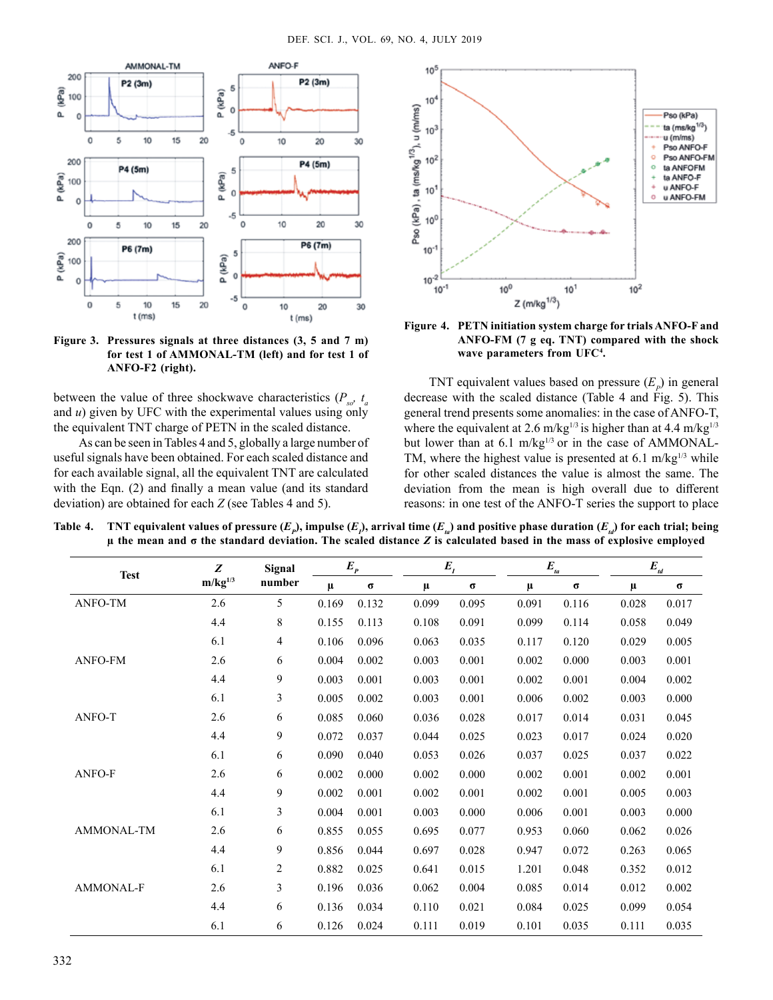

**Figure 3. Pressures signals at three distances (3, 5 and 7 m) for test 1 of AMMONAL-TM (left) and for test 1 of ANFO-F2 (right).**

between the value of three shockwave characteristics  $(P_{ss}, t_a)$ and *u*) given by UFC with the experimental values using only the equivalent TNT charge of PETN in the scaled distance.

As can be seen in Tables 4 and 5, globally a large number of useful signals have been obtained. For each scaled distance and for each available signal, all the equivalent TNT are calculated with the Eqn. (2) and finally a mean value (and its standard deviation) are obtained for each *Z* (see Tables 4 and 5).



**Figure 4. PETN initiation system charge for trials ANFO-F and ANFO-FM (7 g eq. TNT) compared with the shock wave parameters from UFC4 .**

TNT equivalent values based on pressure  $(E_p)$  in general decrease with the scaled distance (Table 4 and Fig. 5). This general trend presents some anomalies: in the case of ANFO-T, where the equivalent at 2.6 m/kg<sup>1/3</sup> is higher than at 4.4 m/kg<sup>1/3</sup> but lower than at  $6.1 \text{ m/kg}^{1/3}$  or in the case of AMMONAL-TM, where the highest value is presented at 6.1 m/kg $^{1/3}$  while for other scaled distances the value is almost the same. The deviation from the mean is high overall due to different reasons: in one test of the ANFO-T series the support to place

Table 4.  $\blacksquare$  TNT equivalent values of pressure  $(E_p)$ , impulse  $(E_p)$ , arrival time  $(E_u)$  and positive phase duration  $(E_u)$  for each trial; being **µ the mean and σ the standard deviation. The scaled distance** *Z* **is calculated based in the mass of explosive employed**

| <b>Test</b>       | Z            | Signal | $E_{p}$ |          |       | $E_{I}$  |       | $E_{ta}$ |       | $E_{td}$ |  |
|-------------------|--------------|--------|---------|----------|-------|----------|-------|----------|-------|----------|--|
|                   | $m/kg^{1/3}$ | number | $\mu$   | $\sigma$ | μ     | $\sigma$ | μ     | $\sigma$ | $\mu$ | σ        |  |
| ANFO-TM           | 2.6          | 5      | 0.169   | 0.132    | 0.099 | 0.095    | 0.091 | 0.116    | 0.028 | 0.017    |  |
|                   | 4.4          | 8      | 0.155   | 0.113    | 0.108 | 0.091    | 0.099 | 0.114    | 0.058 | 0.049    |  |
|                   | 6.1          | 4      | 0.106   | 0.096    | 0.063 | 0.035    | 0.117 | 0.120    | 0.029 | 0.005    |  |
| <b>ANFO-FM</b>    | 2.6          | 6      | 0.004   | 0.002    | 0.003 | 0.001    | 0.002 | 0.000    | 0.003 | 0.001    |  |
|                   | 4.4          | 9      | 0.003   | 0.001    | 0.003 | 0.001    | 0.002 | 0.001    | 0.004 | 0.002    |  |
|                   | 6.1          | 3      | 0.005   | 0.002    | 0.003 | 0.001    | 0.006 | 0.002    | 0.003 | 0.000    |  |
| ANFO-T            | 2.6          | 6      | 0.085   | 0.060    | 0.036 | 0.028    | 0.017 | 0.014    | 0.031 | 0.045    |  |
|                   | 4.4          | 9      | 0.072   | 0.037    | 0.044 | 0.025    | 0.023 | 0.017    | 0.024 | 0.020    |  |
|                   | 6.1          | 6      | 0.090   | 0.040    | 0.053 | 0.026    | 0.037 | 0.025    | 0.037 | 0.022    |  |
| ANFO-F            | 2.6          | 6      | 0.002   | 0.000    | 0.002 | 0.000    | 0.002 | 0.001    | 0.002 | 0.001    |  |
|                   | 4.4          | 9      | 0.002   | 0.001    | 0.002 | 0.001    | 0.002 | 0.001    | 0.005 | 0.003    |  |
|                   | 6.1          | 3      | 0.004   | 0.001    | 0.003 | 0.000    | 0.006 | 0.001    | 0.003 | 0.000    |  |
| <b>AMMONAL-TM</b> | 2.6          | 6      | 0.855   | 0.055    | 0.695 | 0.077    | 0.953 | 0.060    | 0.062 | 0.026    |  |
|                   | 4.4          | 9      | 0.856   | 0.044    | 0.697 | 0.028    | 0.947 | 0.072    | 0.263 | 0.065    |  |
|                   | 6.1          | 2      | 0.882   | 0.025    | 0.641 | 0.015    | 1.201 | 0.048    | 0.352 | 0.012    |  |
| AMMONAL-F         | 2.6          | 3      | 0.196   | 0.036    | 0.062 | 0.004    | 0.085 | 0.014    | 0.012 | 0.002    |  |
|                   | 4.4          | 6      | 0.136   | 0.034    | 0.110 | 0.021    | 0.084 | 0.025    | 0.099 | 0.054    |  |
|                   | 6.1          | 6      | 0.126   | 0.024    | 0.111 | 0.019    | 0.101 | 0.035    | 0.111 | 0.035    |  |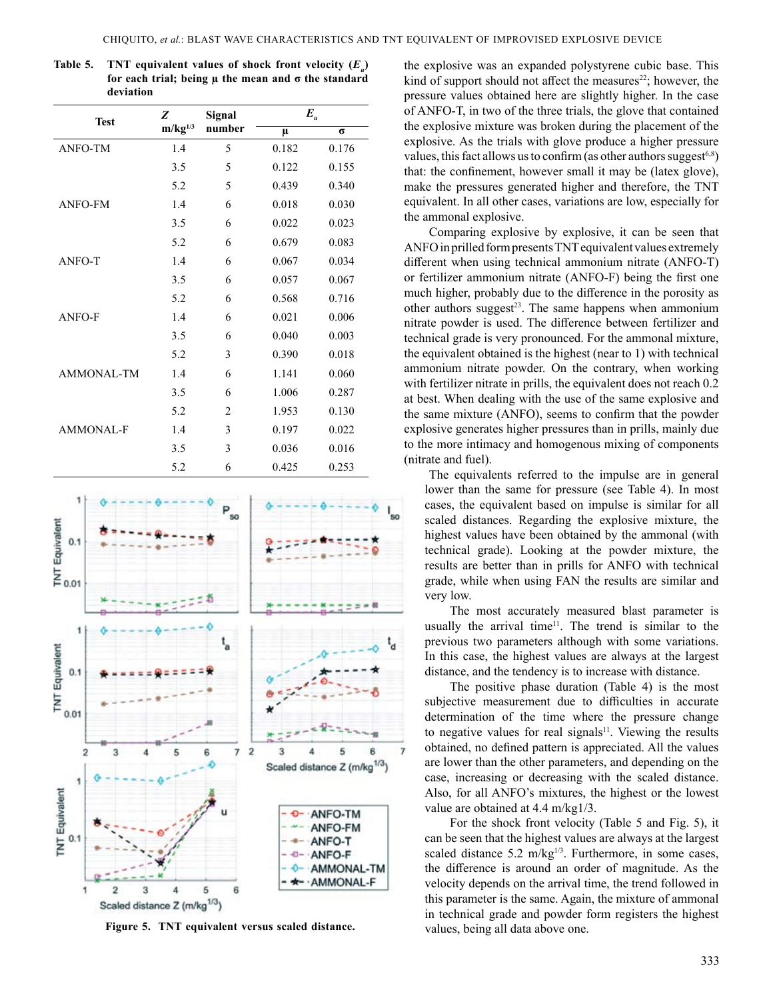| <b>Test</b>      | Z            | Signal         | $\boldsymbol{E}_{_{\boldsymbol{u}}}$ |          |  |  |
|------------------|--------------|----------------|--------------------------------------|----------|--|--|
|                  | $m/kg^{1/3}$ | number         | μ                                    | $\sigma$ |  |  |
| <b>ANFO-TM</b>   | 1.4          | 5              | 0.182                                | 0.176    |  |  |
|                  | 3.5          | 5              | 0.122                                | 0.155    |  |  |
|                  | 5.2          | 5              | 0.439                                | 0.340    |  |  |
| <b>ANFO-FM</b>   | 1.4          | 6              | 0.018                                | 0.030    |  |  |
|                  | 3.5          | 6              | 0.022                                | 0.023    |  |  |
|                  | 5.2          | 6              | 0.679                                | 0.083    |  |  |
| ANFO-T           | 1.4          | 6              | 0.067                                | 0.034    |  |  |
|                  | 3.5          | 6              | 0.057                                | 0.067    |  |  |
|                  | 5.2          | 6              | 0.568                                | 0.716    |  |  |
| ANFO-F           | 1.4          | 6              | 0.021                                | 0.006    |  |  |
|                  | 3.5          | 6              | 0.040                                | 0.003    |  |  |
|                  | 5.2          | 3              | 0.390                                | 0.018    |  |  |
| AMMONAL-TM       | 1.4          | 6              | 1.141                                | 0.060    |  |  |
|                  | 3.5          | 6              | 1.006                                | 0.287    |  |  |
|                  | 5.2          | $\overline{2}$ | 1.953                                | 0.130    |  |  |
| <b>AMMONAL-F</b> | 1.4          | 3              | 0.197                                | 0.022    |  |  |
|                  | 3.5          | 3              | 0.036                                | 0.016    |  |  |
|                  | 5.2          | 6              | 0.425                                | 0.253    |  |  |

**Table 5. TNT equivalent values of shock front velocity**  $(E_n)$ **for each trial; being µ the mean and σ the standard deviation**



Figure 5. TNT equivalent versus scaled distance. values, being all data above one.

the explosive was an expanded polystyrene cubic base. This kind of support should not affect the measures<sup>22</sup>; however, the pressure values obtained here are slightly higher. In the case of ANFO-T, in two of the three trials, the glove that contained the explosive mixture was broken during the placement of the explosive. As the trials with glove produce a higher pressure values, this fact allows us to confirm (as other authors suggest $6,8$ ) that: the confinement, however small it may be (latex glove), make the pressures generated higher and therefore, the TNT equivalent. In all other cases, variations are low, especially for the ammonal explosive.

Comparing explosive by explosive, it can be seen that ANFO in prilled form presents TNT equivalent values extremely different when using technical ammonium nitrate (ANFO-T) or fertilizer ammonium nitrate (ANFO-F) being the first one much higher, probably due to the difference in the porosity as other authors suggest<sup>23</sup>. The same happens when ammonium nitrate powder is used. The difference between fertilizer and technical grade is very pronounced. For the ammonal mixture, the equivalent obtained is the highest (near to 1) with technical ammonium nitrate powder. On the contrary, when working with fertilizer nitrate in prills, the equivalent does not reach 0.2 at best. When dealing with the use of the same explosive and the same mixture (ANFO), seems to confirm that the powder explosive generates higher pressures than in prills, mainly due to the more intimacy and homogenous mixing of components (nitrate and fuel).

The equivalents referred to the impulse are in general lower than the same for pressure (see Table 4). In most cases, the equivalent based on impulse is similar for all scaled distances. Regarding the explosive mixture, the highest values have been obtained by the ammonal (with technical grade). Looking at the powder mixture, the results are better than in prills for ANFO with technical grade, while when using FAN the results are similar and very low.

The most accurately measured blast parameter is usually the arrival time<sup>11</sup>. The trend is similar to the previous two parameters although with some variations. In this case, the highest values are always at the largest distance, and the tendency is to increase with distance.

The positive phase duration (Table 4) is the most subjective measurement due to difficulties in accurate determination of the time where the pressure change to negative values for real signals<sup>11</sup>. Viewing the results obtained, no defined pattern is appreciated. All the values are lower than the other parameters, and depending on the case, increasing or decreasing with the scaled distance. Also, for all ANFO's mixtures, the highest or the lowest value are obtained at 4.4 m/kg1/3.

For the shock front velocity (Table 5 and Fig. 5), it can be seen that the highest values are always at the largest scaled distance 5.2 m/kg $^{1/3}$ . Furthermore, in some cases, the difference is around an order of magnitude. As the velocity depends on the arrival time, the trend followed in this parameter is the same. Again, the mixture of ammonal in technical grade and powder form registers the highest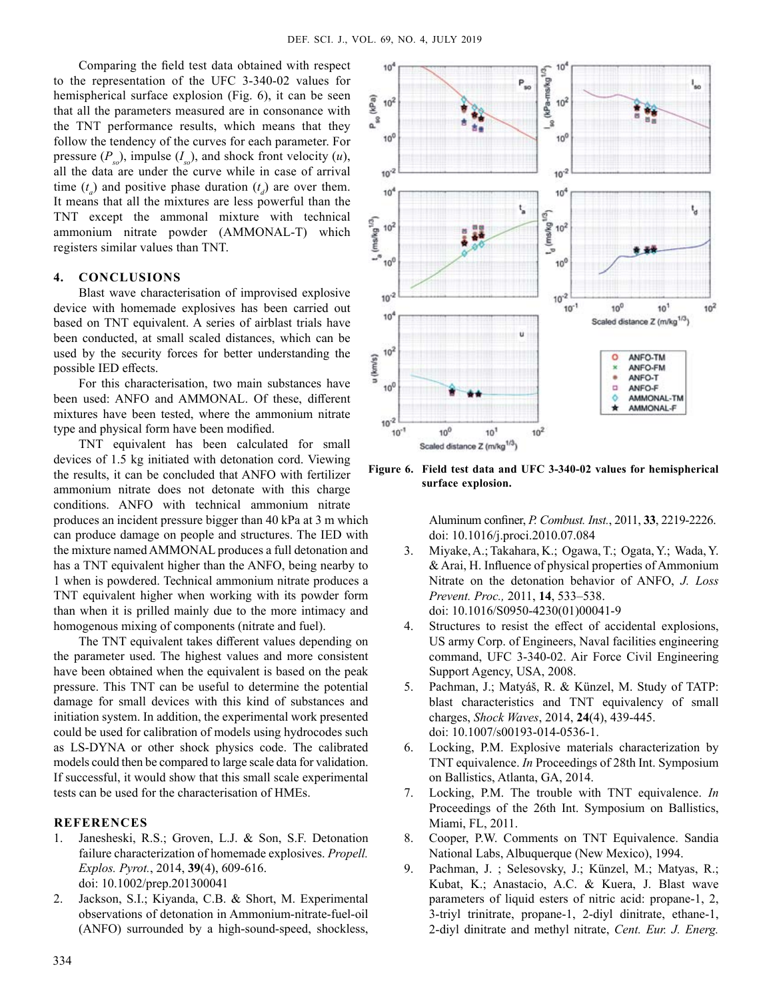Comparing the field test data obtained with respect to the representation of the UFC 3-340-02 values for hemispherical surface explosion (Fig. 6), it can be seen that all the parameters measured are in consonance with the TNT performance results, which means that they follow the tendency of the curves for each parameter. For pressure  $(P_{\rm so})$ , impulse  $(I_{\rm so})$ , and shock front velocity  $(u)$ , all the data are under the curve while in case of arrival time  $(t_a)$  and positive phase duration  $(t_a)$  are over them. It means that all the mixtures are less powerful than the TNT except the ammonal mixture with technical ammonium nitrate powder (AMMONAL-T) which registers similar values than TNT.

# **4. Conclusions**

Blast wave characterisation of improvised explosive device with homemade explosives has been carried out based on TNT equivalent. A series of airblast trials have been conducted, at small scaled distances, which can be used by the security forces for better understanding the possible IED effects.

For this characterisation, two main substances have been used: ANFO and AMMONAL. Of these, different mixtures have been tested, where the ammonium nitrate type and physical form have been modified.

TNT equivalent has been calculated for small devices of 1.5 kg initiated with detonation cord. Viewing the results, it can be concluded that ANFO with fertilizer ammonium nitrate does not detonate with this charge conditions. ANFO with technical ammonium nitrate produces an incident pressure bigger than 40 kPa at 3 m which can produce damage on people and structures. The IED with the mixture named AMMONAL produces a full detonation and has a TNT equivalent higher than the ANFO, being nearby to 1 when is powdered. Technical ammonium nitrate produces a TNT equivalent higher when working with its powder form than when it is prilled mainly due to the more intimacy and homogenous mixing of components (nitrate and fuel).

The TNT equivalent takes different values depending on the parameter used. The highest values and more consistent have been obtained when the equivalent is based on the peak pressure. This TNT can be useful to determine the potential damage for small devices with this kind of substances and initiation system. In addition, the experimental work presented could be used for calibration of models using hydrocodes such as LS-DYNA or other shock physics code. The calibrated models could then be compared to large scale data for validation. If successful, it would show that this small scale experimental tests can be used for the characterisation of HMEs.

# **References**

- 1. Janesheski, R.S.; Groven, L.J. & Son, S.F. Detonation failure characterization of homemade explosives. *Propell. Explos. Pyrot.*, 2014, **39**(4), 609-616. doi: 10.1002/prep.201300041
- 2. Jackson, S.I.; Kiyanda, C.B. & Short, M. Experimental observations of detonation in Ammonium-nitrate-fuel-oil (ANFO) surrounded by a high-sound-speed, shockless,



**Figure 6. Field test data and UFC 3-340-02 values for hemispherical surface explosion.**

Aluminum confiner, *P. Combust. Inst.*, 2011, **33**, 2219-2226. doi: 10.1016/j.proci.2010.07.084

- 3. Miyake, A.; Takahara, K.; Ogawa, T.; Ogata, Y.; Wada, Y. & Arai, H. Influence of physical properties of Ammonium Nitrate on the detonation behavior of ANFO, *J. Loss Prevent. Proc.,* 2011, **14**, 533–538. doi: 10.1016/S0950-4230(01)00041-9
- 4. Structures to resist the effect of accidental explosions, US army Corp. of Engineers, Naval facilities engineering command, UFC 3-340-02. Air Force Civil Engineering Support Agency, USA, 2008.
- 5. Pachman, J.; Matyáš, R. & Künzel, M. Study of TATP: blast characteristics and TNT equivalency of small charges, *Shock Waves*, 2014, **24**(4), 439-445. doi: 10.1007/s00193-014-0536-1.
- 6. Locking, P.M. Explosive materials characterization by TNT equivalence. *In* Proceedings of 28th Int. Symposium on Ballistics, Atlanta, GA, 2014.
- 7. Locking, P.M. The trouble with TNT equivalence. *In* Proceedings of the 26th Int. Symposium on Ballistics, Miami, FL, 2011.
- 8. Cooper, P.W. Comments on TNT Equivalence. Sandia National Labs, Albuquerque (New Mexico), 1994.
- 9. Pachman, J. ; Selesovsky, J.; Künzel, M.; Matyas, R.; Kubat, K.; Anastacio, A.C. & Kuera, J. Blast wave parameters of liquid esters of nitric acid: propane-1, 2, 3-triyl trinitrate, propane-1, 2-diyl dinitrate, ethane-1, 2-diyl dinitrate and methyl nitrate, *Cent. Eur. J. Energ.*